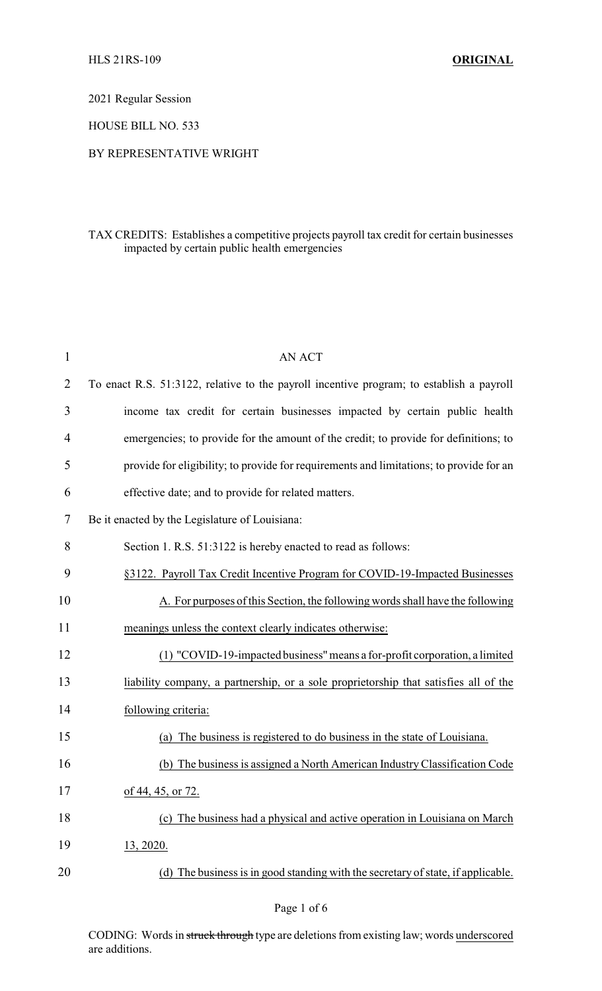2021 Regular Session

HOUSE BILL NO. 533

## BY REPRESENTATIVE WRIGHT

## TAX CREDITS: Establishes a competitive projects payroll tax credit for certain businesses impacted by certain public health emergencies

| $\mathbf{1}$ | <b>AN ACT</b>                                                                            |
|--------------|------------------------------------------------------------------------------------------|
| 2            | To enact R.S. 51:3122, relative to the payroll incentive program; to establish a payroll |
| 3            | income tax credit for certain businesses impacted by certain public health               |
| 4            | emergencies; to provide for the amount of the credit; to provide for definitions; to     |
| 5            | provide for eligibility; to provide for requirements and limitations; to provide for an  |
| 6            | effective date; and to provide for related matters.                                      |
| 7            | Be it enacted by the Legislature of Louisiana:                                           |
| 8            | Section 1. R.S. 51:3122 is hereby enacted to read as follows:                            |
| 9            | §3122. Payroll Tax Credit Incentive Program for COVID-19-Impacted Businesses             |
| 10           | A. For purposes of this Section, the following words shall have the following            |
| 11           | meanings unless the context clearly indicates otherwise:                                 |
| 12           | (1) "COVID-19-impacted business" means a for-profit corporation, a limited               |
| 13           | liability company, a partnership, or a sole proprietorship that satisfies all of the     |
| 14           | following criteria:                                                                      |
| 15           | The business is registered to do business in the state of Louisiana.<br>(a)              |
| 16           | (b) The business is assigned a North American Industry Classification Code               |
| 17           | of 44, 45, or 72.                                                                        |
| 18           | The business had a physical and active operation in Louisiana on March<br>(c)            |
| 19           | 13, 2020.                                                                                |
| 20           | The business is in good standing with the secretary of state, if applicable.<br>(d)      |
|              |                                                                                          |

CODING: Words in struck through type are deletions from existing law; words underscored are additions.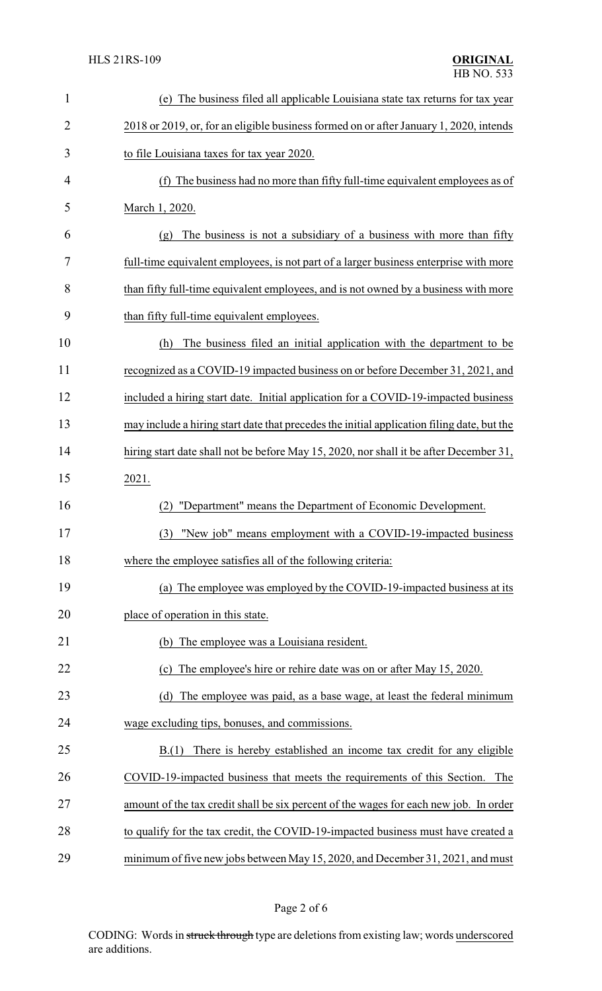| $\mathbf{1}$   | (e) The business filed all applicable Louisiana state tax returns for tax year             |  |
|----------------|--------------------------------------------------------------------------------------------|--|
| $\overline{2}$ | 2018 or 2019, or, for an eligible business formed on or after January 1, 2020, intends     |  |
| 3              | to file Louisiana taxes for tax year 2020.                                                 |  |
| 4              | (f) The business had no more than fifty full-time equivalent employees as of               |  |
| 5              | March 1, 2020.                                                                             |  |
| 6              | The business is not a subsidiary of a business with more than fifty<br>(g)                 |  |
| 7              | full-time equivalent employees, is not part of a larger business enterprise with more      |  |
| 8              | than fifty full-time equivalent employees, and is not owned by a business with more        |  |
| 9              | than fifty full-time equivalent employees.                                                 |  |
| 10             | The business filed an initial application with the department to be<br>(h)                 |  |
| 11             | recognized as a COVID-19 impacted business on or before December 31, 2021, and             |  |
| 12             | included a hiring start date. Initial application for a COVID-19-impacted business         |  |
| 13             | may include a hiring start date that precedes the initial application filing date, but the |  |
| 14             | hiring start date shall not be before May 15, 2020, nor shall it be after December 31,     |  |
| 15             | 2021.                                                                                      |  |
| 16             | "Department" means the Department of Economic Development.                                 |  |
| 17             | (3) "New job" means employment with a COVID-19-impacted business                           |  |
| 18             | where the employee satisfies all of the following criteria:                                |  |
| 19             | (a) The employee was employed by the COVID-19-impacted business at its                     |  |
| 20             | place of operation in this state.                                                          |  |
| 21             | (b) The employee was a Louisiana resident.                                                 |  |
| 22             | The employee's hire or rehire date was on or after May 15, 2020.<br>(c)                    |  |
| 23             | (d) The employee was paid, as a base wage, at least the federal minimum                    |  |
| 24             | wage excluding tips, bonuses, and commissions.                                             |  |
| 25             | There is hereby established an income tax credit for any eligible<br>B(1)                  |  |
| 26             | COVID-19-impacted business that meets the requirements of this Section. The                |  |
| 27             | amount of the tax credit shall be six percent of the wages for each new job. In order      |  |
| 28             | to qualify for the tax credit, the COVID-19-impacted business must have created a          |  |
| 29             | minimum of five new jobs between May 15, 2020, and December 31, 2021, and must             |  |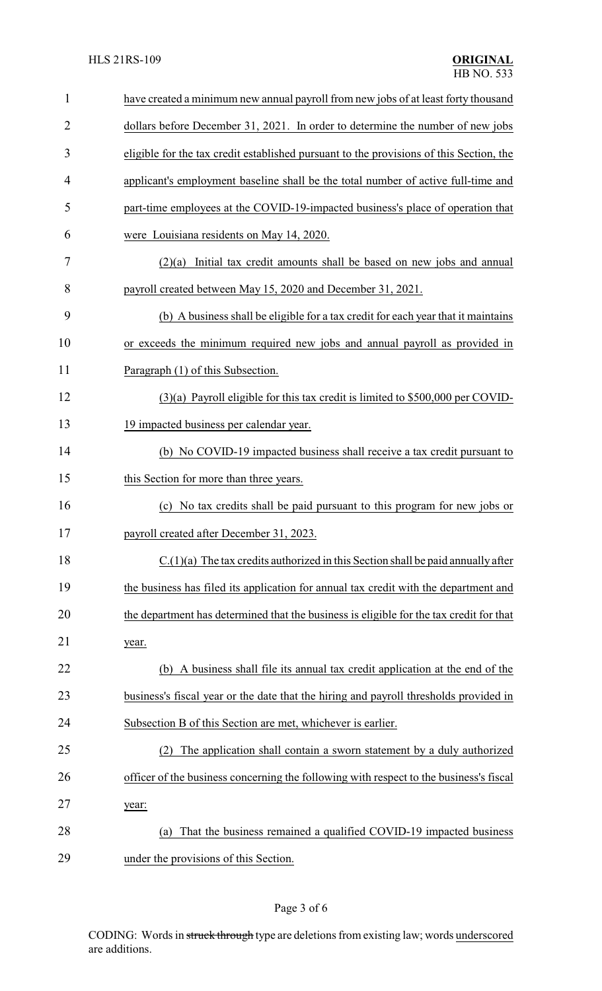| 1              | have created a minimum new annual payroll from new jobs of at least forty thousand      |  |
|----------------|-----------------------------------------------------------------------------------------|--|
| $\overline{2}$ | dollars before December 31, 2021. In order to determine the number of new jobs          |  |
| 3              | eligible for the tax credit established pursuant to the provisions of this Section, the |  |
| 4              | applicant's employment baseline shall be the total number of active full-time and       |  |
| 5              | part-time employees at the COVID-19-impacted business's place of operation that         |  |
| 6              | were Louisiana residents on May 14, 2020.                                               |  |
| 7              | $(2)(a)$ Initial tax credit amounts shall be based on new jobs and annual               |  |
| 8              | payroll created between May 15, 2020 and December 31, 2021.                             |  |
| 9              | (b) A business shall be eligible for a tax credit for each year that it maintains       |  |
| 10             | or exceeds the minimum required new jobs and annual payroll as provided in              |  |
| 11             | Paragraph (1) of this Subsection.                                                       |  |
| 12             | $(3)(a)$ Payroll eligible for this tax credit is limited to \$500,000 per COVID-        |  |
| 13             | 19 impacted business per calendar year.                                                 |  |
| 14             | (b) No COVID-19 impacted business shall receive a tax credit pursuant to                |  |
| 15             | this Section for more than three years.                                                 |  |
| 16             | (c) No tax credits shall be paid pursuant to this program for new jobs or               |  |
| 17             | payroll created after December 31, 2023.                                                |  |
| 18             | $C(1)(a)$ The tax credits authorized in this Section shall be paid annually after       |  |
| 19             | the business has filed its application for annual tax credit with the department and    |  |
| 20             | the department has determined that the business is eligible for the tax credit for that |  |
| 21             | year.                                                                                   |  |
| 22             | (b) A business shall file its annual tax credit application at the end of the           |  |
| 23             | business's fiscal year or the date that the hiring and payroll thresholds provided in   |  |
| 24             | Subsection B of this Section are met, whichever is earlier.                             |  |
| 25             | The application shall contain a sworn statement by a duly authorized                    |  |
| 26             | officer of the business concerning the following with respect to the business's fiscal  |  |
| 27             | year:                                                                                   |  |
| 28             | That the business remained a qualified COVID-19 impacted business<br>(a)                |  |
| 29             | under the provisions of this Section.                                                   |  |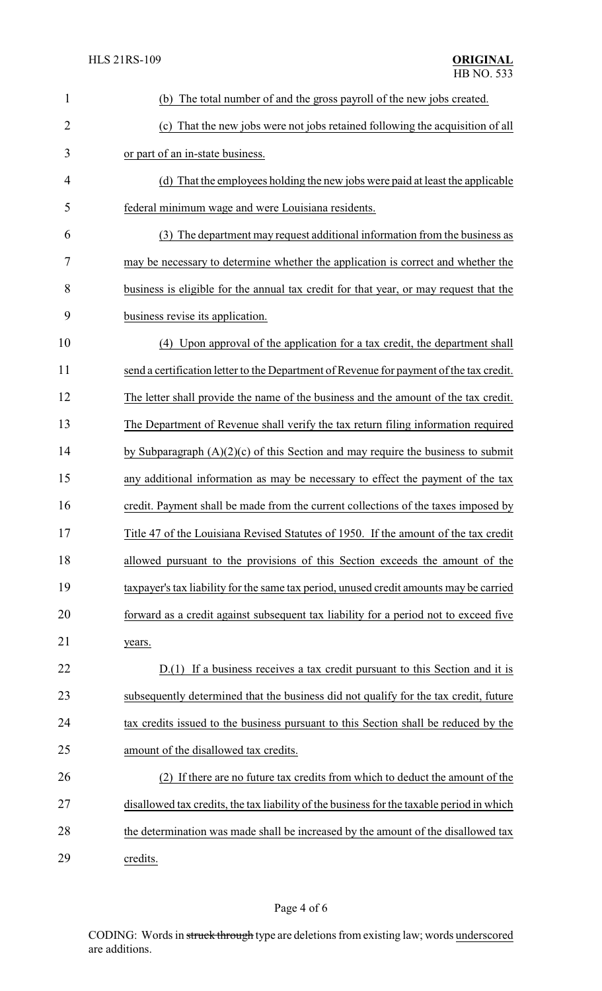| $\mathbf{1}$   | (b) The total number of and the gross payroll of the new jobs created.                    |
|----------------|-------------------------------------------------------------------------------------------|
| $\overline{2}$ | (c) That the new jobs were not jobs retained following the acquisition of all             |
| 3              | or part of an in-state business.                                                          |
| $\overline{4}$ | (d) That the employees holding the new jobs were paid at least the applicable             |
| 5              | federal minimum wage and were Louisiana residents.                                        |
| 6              | (3) The department may request additional information from the business as                |
| 7              | may be necessary to determine whether the application is correct and whether the          |
| 8              | business is eligible for the annual tax credit for that year, or may request that the     |
| 9              | business revise its application.                                                          |
| 10             | (4) Upon approval of the application for a tax credit, the department shall               |
| 11             | send a certification letter to the Department of Revenue for payment of the tax credit.   |
| 12             | The letter shall provide the name of the business and the amount of the tax credit.       |
| 13             | The Department of Revenue shall verify the tax return filing information required         |
| 14             | by Subparagraph $(A)(2)(c)$ of this Section and may require the business to submit        |
| 15             | any additional information as may be necessary to effect the payment of the tax           |
| 16             | credit. Payment shall be made from the current collections of the taxes imposed by        |
| 17             | Title 47 of the Louisiana Revised Statutes of 1950. If the amount of the tax credit       |
| 18             | allowed pursuant to the provisions of this Section exceeds the amount of the              |
| 19             | taxpayer's tax liability for the same tax period, unused credit amounts may be carried    |
| 20             | forward as a credit against subsequent tax liability for a period not to exceed five      |
| 21             | years.                                                                                    |
| 22             | D.(1) If a business receives a tax credit pursuant to this Section and it is              |
| 23             | subsequently determined that the business did not qualify for the tax credit, future      |
| 24             | tax credits issued to the business pursuant to this Section shall be reduced by the       |
| 25             | amount of the disallowed tax credits.                                                     |
| 26             | (2) If there are no future tax credits from which to deduct the amount of the             |
| 27             | disallowed tax credits, the tax liability of the business for the taxable period in which |
| 28             | the determination was made shall be increased by the amount of the disallowed tax         |
| 29             | credits.                                                                                  |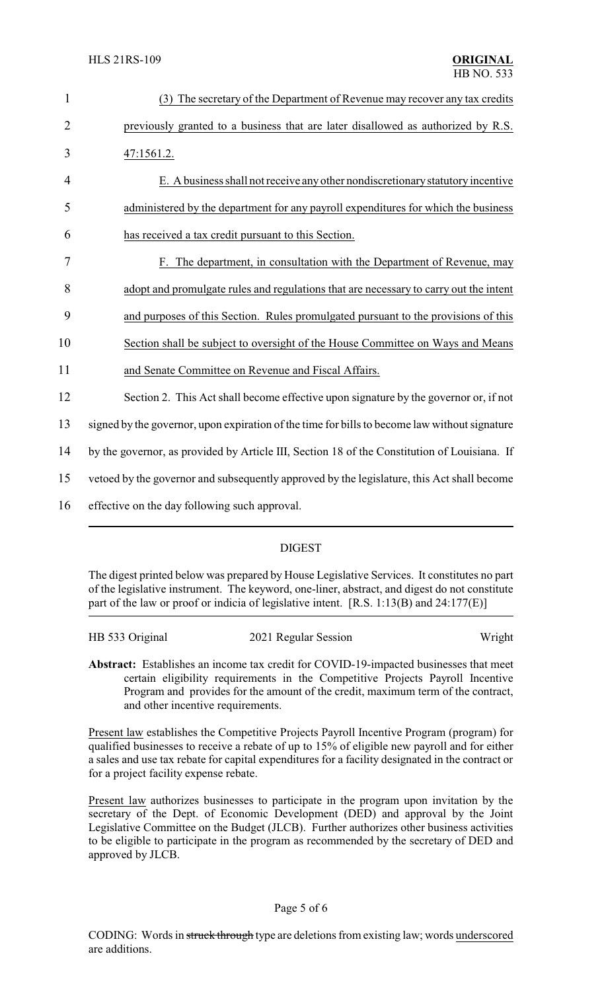| $\mathbf{1}$   | (3) The secretary of the Department of Revenue may recover any tax credits                    |
|----------------|-----------------------------------------------------------------------------------------------|
| $\overline{2}$ | previously granted to a business that are later disallowed as authorized by R.S.              |
| 3              | 47:1561.2.                                                                                    |
| 4              | E. A business shall not receive any other nondiscretionary statutory incentive                |
| 5              | administered by the department for any payroll expenditures for which the business            |
| 6              | has received a tax credit pursuant to this Section.                                           |
| 7              | F. The department, in consultation with the Department of Revenue, may                        |
| 8              | adopt and promulgate rules and regulations that are necessary to carry out the intent         |
| 9              | and purposes of this Section. Rules promulgated pursuant to the provisions of this            |
| 10             | Section shall be subject to oversight of the House Committee on Ways and Means                |
| 11             | and Senate Committee on Revenue and Fiscal Affairs.                                           |
| 12             | Section 2. This Act shall become effective upon signature by the governor or, if not          |
| 13             | signed by the governor, upon expiration of the time for bills to become law without signature |
| 14             | by the governor, as provided by Article III, Section 18 of the Constitution of Louisiana. If  |
| 15             | vetoed by the governor and subsequently approved by the legislature, this Act shall become    |
| 16             | effective on the day following such approval.                                                 |
|                |                                                                                               |

## DIGEST

The digest printed below was prepared by House Legislative Services. It constitutes no part of the legislative instrument. The keyword, one-liner, abstract, and digest do not constitute part of the law or proof or indicia of legislative intent. [R.S. 1:13(B) and 24:177(E)]

| HB 533 Original | 2021 Regular Session | Wright |
|-----------------|----------------------|--------|
|-----------------|----------------------|--------|

**Abstract:** Establishes an income tax credit for COVID-19-impacted businesses that meet certain eligibility requirements in the Competitive Projects Payroll Incentive Program and provides for the amount of the credit, maximum term of the contract, and other incentive requirements.

Present law establishes the Competitive Projects Payroll Incentive Program (program) for qualified businesses to receive a rebate of up to 15% of eligible new payroll and for either a sales and use tax rebate for capital expenditures for a facility designated in the contract or for a project facility expense rebate.

Present law authorizes businesses to participate in the program upon invitation by the secretary of the Dept. of Economic Development (DED) and approval by the Joint Legislative Committee on the Budget (JLCB). Further authorizes other business activities to be eligible to participate in the program as recommended by the secretary of DED and approved by JLCB.